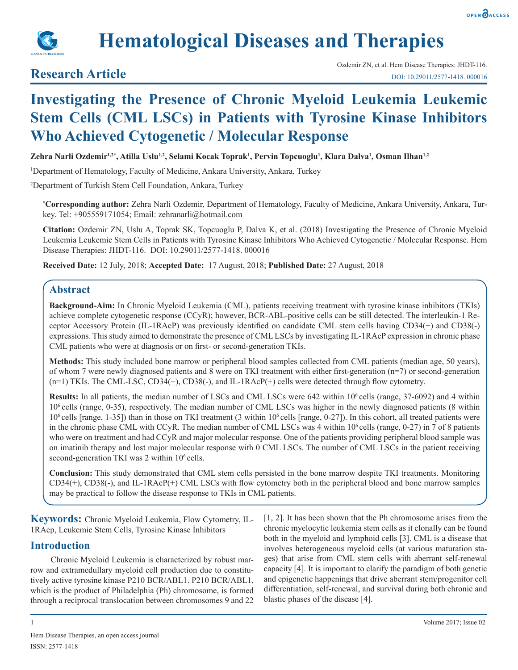



# **Hematological Diseases and Therapies**

## **Research Article**

# **Investigating the Presence of Chronic Myeloid Leukemia Leukemic Stem Cells (CML LSCs) in Patients with Tyrosine Kinase Inhibitors Who Achieved Cytogenetic / Molecular Response**

**Zehra Narli Ozdemir1,2\*, Atilla Uslu1,2, Selami Kocak Toprak1 , Pervin Topcuoglu1 , Klara Dalva1 , Osman Ilhan1,2**

1 Department of Hematology, Faculty of Medicine, Ankara University, Ankara, Turkey

2 Department of Turkish Stem Cell Foundation, Ankara, Turkey

**\* Corresponding author:** Zehra Narli Ozdemir, Department of Hematology, Faculty of Medicine, Ankara University, Ankara, Turkey. Tel: +905559171054; Email: zehranarli@hotmail.com

**Citation:** Ozdemir ZN, Uslu A, Toprak SK, Topcuoglu P, Dalva K, et al. (2018) Investigating the Presence of Chronic Myeloid Leukemia Leukemic Stem Cells in Patients with Tyrosine Kinase Inhibitors Who Achieved Cytogenetic / Molecular Response. Hem Disease Therapies: JHDT-116. DOI: 10.29011/2577-1418. 000016

**Received Date:** 12 July, 2018; **Accepted Date:** 17 August, 2018; **Published Date:** 27 August, 2018

#### **Abstract**

**Background-Aim:** In Chronic Myeloid Leukemia (CML), patients receiving treatment with tyrosine kinase inhibitors (TKIs) achieve complete cytogenetic response (CCyR); however, BCR-ABL-positive cells can be still detected. The interleukin-1 Receptor Accessory Protein (IL-1RAcP) was previously identified on candidate CML stem cells having CD34(+) and CD38(-) expressions. This study aimed to demonstrate the presence of CML LSCs by investigating IL-1RAcP expression in chronic phase CML patients who were at diagnosis or on first- or second-generation TKIs.

**Methods:** This study included bone marrow or peripheral blood samples collected from CML patients (median age, 50 years), of whom 7 were newly diagnosed patients and 8 were on TKI treatment with either first-generation (n=7) or second-generation (n=1) TKIs. The CML-LSC, CD34(+), CD38(-), and IL-1RAcP(+) cells were detected through flow cytometry.

**Results:** In all patients, the median number of LSCs and CML LSCs were 642 within 10<sup>6</sup> cells (range, 37-6092) and 4 within 106 cells (range, 0-35), respectively. The median number of CML LSCs was higher in the newly diagnosed patients (8 within  $10<sup>6</sup>$  cells [range, 1-35]) than in those on TKI treatment (3 within  $10<sup>6</sup>$  cells [range, 0-27]). In this cohort, all treated patients were in the chronic phase CML with CCyR. The median number of CML LSCs was 4 within  $10<sup>6</sup>$  cells (range, 0-27) in 7 of 8 patients who were on treatment and had CCyR and major molecular response. One of the patients providing peripheral blood sample was on imatinib therapy and lost major molecular response with 0 CML LSCs. The number of CML LSCs in the patient receiving second-generation TKI was 2 within 10<sup>6</sup> cells.

**Conclusion:** This study demonstrated that CML stem cells persisted in the bone marrow despite TKI treatments. Monitoring CD34(+), CD38(-), and IL-1RAcP(+) CML LSCs with flow cytometry both in the peripheral blood and bone marrow samples may be practical to follow the disease response to TKIs in CML patients.

**Keywords:** Chronic Myeloid Leukemia, Flow Cytometry, IL-1RAcp, Leukemic Stem Cells, Tyrosine Kinase İnhibitors

#### **Introduction**

Chronic Myeloid Leukemia is characterized by robust marrow and extramedullary myeloid cell production due to constitutively active tyrosine kinase P210 BCR/ABL1. P210 BCR/ABL1, which is the product of Philadelphia (Ph) chromosome, is formed through a reciprocal translocation between chromosomes 9 and 22

[1, 2]. It has been shown that the Ph chromosome arises from the chronic myelocytic leukemia stem cells as it clonally can be found both in the myeloid and lymphoid cells [3]. CML is a disease that involves heterogeneous myeloid cells (at various maturation stages) that arise from CML stem cells with aberrant self-renewal capacity [4]. It is important to clarify the paradigm of both genetic and epigenetic happenings that drive aberrant stem/progenitor cell differentiation, self-renewal, and survival during both chronic and blastic phases of the disease [4].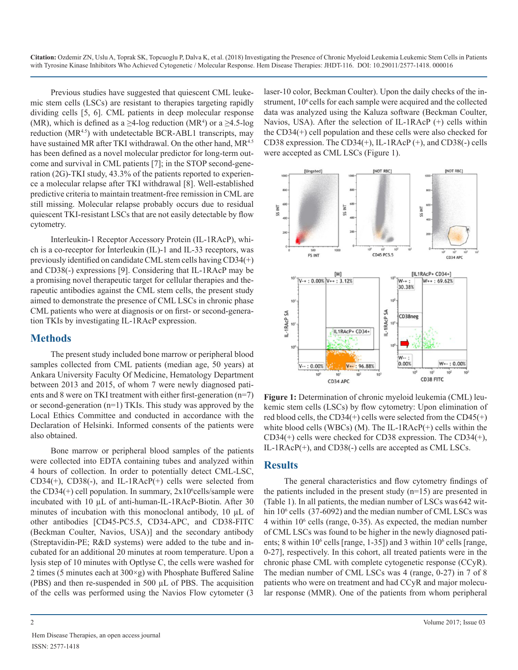**Citation:** Ozdemir ZN, Uslu A, Toprak SK, Topcuoglu P, Dalva K, et al. (2018) Investigating the Presence of Chronic Myeloid Leukemia Leukemic Stem Cells in Patients with Tyrosine Kinase Inhibitors Who Achieved Cytogenetic / Molecular Response. Hem Disease Therapies: JHDT-116. DOI: 10.29011/2577-1418. 000016

Previous studies have suggested that quiescent CML leukemic stem cells (LSCs) are resistant to therapies targeting rapidly dividing cells [5, 6]. CML patients in deep molecular response (MR), which is defined as a  $\geq$ 4-log reduction (MR<sup>4</sup>) or a  $\geq$ 4.5-log reduction (MR<sup>4.5</sup>) with undetectable BCR-ABL1 transcripts, may have sustained MR after TKI withdrawal. On the other hand, MR<sup>4.5</sup> has been defined as a novel molecular predictor for long-term outcome and survival in CML patients [7]; in the STOP second-generation (2G)-TKI study, 43.3% of the patients reported to experience a molecular relapse after TKI withdrawal [8]. Well-established predictive criteria to maintain treatment-free remission in CML are still missing. Molecular relapse probably occurs due to residual quiescent TKI-resistant LSCs that are not easily detectable by flow cytometry.

Interleukin-1 Receptor Accessory Protein (IL-1RAcP), which is a co-receptor for İnterleukin (IL)-1 and IL-33 receptors, was previously identified on candidate CML stem cells having CD34(+) and CD38(-) expressions [9]. Considering that IL-1RAcP may be a promising novel therapeutic target for cellular therapies and therapeutic antibodies against the CML stem cells, the present study aimed to demonstrate the presence of CML LSCs in chronic phase CML patients who were at diagnosis or on first- or second-generation TKIs by investigating IL-1RAcP expression.

#### **Methods**

The present study included bone marrow or peripheral blood samples collected from CML patients (median age, 50 years) at Ankara University Faculty Of Medicine, Hematology Department between 2013 and 2015, of whom 7 were newly diagnosed patients and 8 were on TKI treatment with either first-generation (n=7) or second-generation (n=1) TKIs. This study was approved by the Local Ethics Committee and conducted in accordance with the Declaration of Helsinki. Informed consents of the patients were also obtained.

Bone marrow or peripheral blood samples of the patients were collected into EDTA containing tubes and analyzed within 4 hours of collection. In order to potentially detect CML-LSC, CD34(+), CD38(-), and IL-1RAcP(+) cells were selected from the CD34 $(+)$  cell population. In summary,  $2x10<sup>6</sup>$ cells/sample were incubated with 10 µL of anti-human-IL-1RAcP-Biotin. After 30 minutes of incubation with this monoclonal antibody, 10  $\mu$ L of other antibodies [CD45-PC5.5, CD34-APC, and CD38-FITC (Beckman Coulter, Navios, USA)] and the secondary antibody (Streptavidin-PE; R&D systems) were added to the tube and incubated for an additional 20 minutes at room temperature. Upon a lysis step of 10 minutes with Optlyse C, the cells were washed for 2 times (5 minutes each at 300×g) with Phosphate Buffered Saline (PBS) and then re-suspended in 500 µL of PBS. The acquisition of the cells was performed using the Navios Flow cytometer (3

laser-10 color, Beckman Coulter). Upon the daily checks of the instrument, 10<sup>6</sup> cells for each sample were acquired and the collected data was analyzed using the Kaluza software (Beckman Coulter, Navios, USA). After the selection of IL-1RAcP (+) cells within the CD34(+) cell population and these cells were also checked for CD38 expression. The CD34(+), IL-1RAcP (+), and CD38(-) cells were accepted as CML LSCs (Figure 1).



**Figure 1:** Determination of chronic myeloid leukemia (CML) leukemic stem cells (LSCs) by flow cytometry: Upon elimination of red blood cells, the CD34(+) cells were selected from the  $CD45(+)$ white blood cells (WBCs) (M). The IL-1RAcP(+) cells within the CD34(+) cells were checked for CD38 expression. The CD34(+), IL-1RAcP(+), and CD38(-) cells are accepted as CML LSCs.

#### **Results**

The general characteristics and flow cytometry findings of the patients included in the present study  $(n=15)$  are presented in (Table 1). In all patients, the median number of LSCs was 642 within 10<sup>6</sup> cells (37-6092) and the median number of CML LSCs was  $4$  within  $10<sup>6</sup>$  cells (range, 0-35). As expected, the median number of CML LSCs was found to be higher in the newly diagnosed patients; 8 within  $10^6$  cells [range, 1-35]) and 3 within  $10^6$  cells [range, 0-27], respectively. In this cohort, all treated patients were in the chronic phase CML with complete cytogenetic response (CCyR). The median number of CML LSCs was 4 (range, 0-27) in 7 of 8 patients who were on treatment and had CCyR and major molecular response (MMR). One of the patients from whom peripheral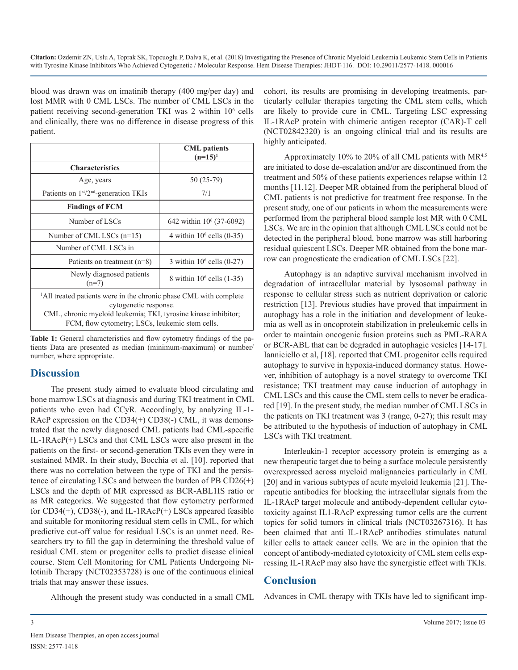**Citation:** Ozdemir ZN, Uslu A, Toprak SK, Topcuoglu P, Dalva K, et al. (2018) Investigating the Presence of Chronic Myeloid Leukemia Leukemic Stem Cells in Patients with Tyrosine Kinase Inhibitors Who Achieved Cytogenetic / Molecular Response. Hem Disease Therapies: JHDT-116. DOI: 10.29011/2577-1418. 000016

blood was drawn was on imatinib therapy (400 mg/per day) and lost MMR with 0 CML LSCs. The number of CML LSCs in the patient receiving second-generation TKI was 2 within 10<sup>6</sup> cells and clinically, there was no difference in disease progress of this patient.

|                                                                                                                                                                          | <b>CML</b> patients<br>$(n=15)^1$    |
|--------------------------------------------------------------------------------------------------------------------------------------------------------------------------|--------------------------------------|
| <b>Characteristics</b>                                                                                                                                                   |                                      |
| Age, years                                                                                                                                                               | 50 (25-79)                           |
| Patients on $1st/2nd$ -generation TKIs                                                                                                                                   | 7/1                                  |
| <b>Findings of FCM</b>                                                                                                                                                   |                                      |
| Number of LSCs                                                                                                                                                           | 642 within 10 <sup>6</sup> (37-6092) |
| Number of CML LSCs $(n=15)$                                                                                                                                              | 4 within $106$ cells $(0-35)$        |
| Number of CML LSCs in                                                                                                                                                    |                                      |
| Patients on treatment $(n=8)$                                                                                                                                            | 3 within $106$ cells $(0-27)$        |
| Newly diagnosed patients<br>$(n=7)$                                                                                                                                      | 8 within $10^6$ cells $(1-35)$       |
| <sup>1</sup> All treated patients were in the chronic phase CML with complete<br>cytogenetic response.<br>CML, chronic myeloid leukemia; TKI, tyrosine kinase inhibitor; |                                      |

**Table 1:** General characteristics and flow cytometry findings of the patients Data are presented as median (minimum-maximum) or number/ number, where appropriate.

FCM, flow cytometry; LSCs, leukemic stem cells.

#### **Discussion**

The present study aimed to evaluate blood circulating and bone marrow LSCs at diagnosis and during TKI treatment in CML patients who even had CCyR. Accordingly, by analyzing IL-1- RAcP expression on the CD34(+) CD38(-) CML, it was demonstrated that the newly diagnosed CML patients had CML-specific IL-1RAcP(+) LSCs and that CML LSCs were also present in the patients on the first- or second-generation TKIs even they were in sustained MMR. In their study, Bocchia et al. [10]. reported that there was no correlation between the type of TKI and the persistence of circulating LSCs and between the burden of PB CD26(+) LSCs and the depth of MR expressed as BCR-ABL1IS ratio or as MR categories. We suggested that flow cytometry performed for CD34(+), CD38(-), and IL-1RAcP(+) LSCs appeared feasible and suitable for monitoring residual stem cells in CML, for which predictive cut-off value for residual LSCs is an unmet need. Researchers try to fill the gap in determining the threshold value of residual CML stem or progenitor cells to predict disease clinical course. Stem Cell Monitoring for CML Patients Undergoing Nilotinib Therapy (NCT02353728) is one of the continuous clinical trials that may answer these issues.

Although the present study was conducted in a small CML

cohort, its results are promising in developing treatments, particularly cellular therapies targeting the CML stem cells, which are likely to provide cure in CML. Targeting LSC expressing IL-1RAcP protein with chimeric antigen receptor (CAR)-T cell (NCT02842320) is an ongoing clinical trial and its results are highly anticipated.

Approximately 10% to 20% of all CML patients with MR<sup>4.5</sup> are initiated to dose de-escalation and/or are discontinued from the treatment and 50% of these patients experiences relapse within 12 months [11,12]. Deeper MR obtained from the peripheral blood of CML patients is not predictive for treatment free response. In the present study, one of our patients in whom the measurements were performed from the peripheral blood sample lost MR with 0 CML LSCs. We are in the opinion that although CML LSCs could not be detected in the peripheral blood, bone marrow was still harboring residual quiescent LSCs. Deeper MR obtained from the bone marrow can prognosticate the eradication of CML LSCs [22].

Autophagy is an adaptive survival mechanism involved in degradation of intracellular material by lysosomal pathway in response to cellular stress such as nutrient deprivation or caloric restriction [13]. Previous studies have proved that impairment in autophagy has a role in the initiation and development of leukemia as well as in oncoprotein stabilization in preleukemic cells in order to maintain oncogenic fusion proteins such as PML-RARA or BCR-ABL that can be degraded in autophagic vesicles [14-17]. Ianniciello et al, [18]. reported that CML progenitor cells required autophagy to survive in hypoxia-induced dormancy status. However, inhibition of autophagy is a novel strategy to overcome TKI resistance; TKI treatment may cause induction of autophagy in CML LSCs and this cause the CML stem cells to never be eradicated [19]. In the present study, the median number of CML LSCs in the patients on TKI treatment was 3 (range, 0-27); this result may be attributed to the hypothesis of induction of autophagy in CML LSCs with TKI treatment.

Interleukin-1 receptor accessory protein is emerging as a new therapeutic target due to being a surface molecule persistently overexpressed across myeloid malignancies particularly in CML [20] and in various subtypes of acute myeloid leukemia [21]. Therapeutic antibodies for blocking the intracellular signals from the IL-1RAcP target molecule and antibody-dependent cellular cytotoxicity against IL1-RAcP expressing tumor cells are the current topics for solid tumors in clinical trials (NCT03267316). It has been claimed that anti IL-1RAcP antibodies stimulates natural killer cells to attack cancer cells. We are in the opinion that the concept of antibody-mediated cytotoxicity of CML stem cells expressing IL-1RAcP may also have the synergistic effect with TKIs.

### **Conclusion**

Advances in CML therapy with TKIs have led to significant imp-